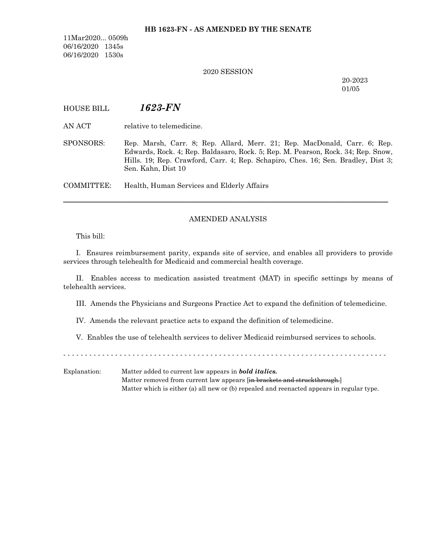11Mar2020... 0509h 06/16/2020 1345s 06/16/2020 1530s

## 2020 SESSION

20-2023 01/05

# HOUSE BILL *1623-FN*

AN ACT relative to telemedicine.

SPONSORS: Rep. Marsh, Carr. 8; Rep. Allard, Merr. 21; Rep. MacDonald, Carr. 6; Rep. Edwards, Rock. 4; Rep. Baldasaro, Rock. 5; Rep. M. Pearson, Rock. 34; Rep. Snow, Hills. 19; Rep. Crawford, Carr. 4; Rep. Schapiro, Ches. 16; Sen. Bradley, Dist 3; Sen. Kahn, Dist 10

COMMITTEE: Health, Human Services and Elderly Affairs

# AMENDED ANALYSIS

─────────────────────────────────────────────────────────────────

This bill:

I. Ensures reimbursement parity, expands site of service, and enables all providers to provide services through telehealth for Medicaid and commercial health coverage.

II. Enables access to medication assisted treatment (MAT) in specific settings by means of telehealth services.

III. Amends the Physicians and Surgeons Practice Act to expand the definition of telemedicine.

IV. Amends the relevant practice acts to expand the definition of telemedicine.

V. Enables the use of telehealth services to deliver Medicaid reimbursed services to schools.

- - - - - - - - - - - - - - - - - - - - - - - - - - - - - - - - - - - - - - - - - - - - - - - - - - - - - - - - - - - - - - - - - - - - - - - - - - -

Explanation: Matter added to current law appears in *bold italics.* Matter removed from current law appears [in brackets and struckthrough.] Matter which is either (a) all new or (b) repealed and reenacted appears in regular type.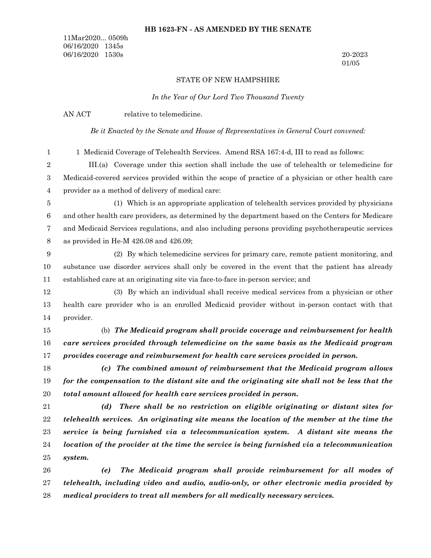# **HB 1623-FN - AS AMENDED BY THE SENATE**

11Mar2020... 0509h 06/16/2020 1345s 06/16/2020 1530s 20-2023

01/05

# STATE OF NEW HAMPSHIRE

*In the Year of Our Lord Two Thousand Twenty*

|                  | ni inc real of Oal Dora rwo rhousana rweni,                                                         |  |  |  |  |  |
|------------------|-----------------------------------------------------------------------------------------------------|--|--|--|--|--|
|                  | AN ACT<br>relative to telemedicine.                                                                 |  |  |  |  |  |
|                  | Be it Enacted by the Senate and House of Representatives in General Court convened:                 |  |  |  |  |  |
| $\mathbf{1}$     | 1 Medicaid Coverage of Telehealth Services. Amend RSA 167:4-d, III to read as follows:              |  |  |  |  |  |
| $\boldsymbol{2}$ | III.(a) Coverage under this section shall include the use of telehealth or telemedicine for         |  |  |  |  |  |
| $\,3$            | Medicaid-covered services provided within the scope of practice of a physician or other health care |  |  |  |  |  |
| 4                | provider as a method of delivery of medical care:                                                   |  |  |  |  |  |
| $\bf 5$          | (1) Which is an appropriate application of telehealth services provided by physicians               |  |  |  |  |  |
| $\,6$            | and other health care providers, as determined by the department based on the Centers for Medicare  |  |  |  |  |  |
| $\overline{7}$   | and Medicaid Services regulations, and also including persons providing psychotherapeutic services  |  |  |  |  |  |
| $8\,$            | as provided in He-M $426.08$ and $426.09$ ;                                                         |  |  |  |  |  |
| $\boldsymbol{9}$ | (2) By which telemedicine services for primary care, remote patient monitoring, and                 |  |  |  |  |  |
| 10               | substance use disorder services shall only be covered in the event that the patient has already     |  |  |  |  |  |
| 11               | established care at an originating site via face-to-face in-person service; and                     |  |  |  |  |  |
| 12               | (3) By which an individual shall receive medical services from a physician or other                 |  |  |  |  |  |
| 13               | health care provider who is an enrolled Medicaid provider without in-person contact with that       |  |  |  |  |  |
| 14               | provider.                                                                                           |  |  |  |  |  |
| 15               | (b) The Medicaid program shall provide coverage and reimbursement for health                        |  |  |  |  |  |
| 16               | care services provided through telemedicine on the same basis as the Medicaid program               |  |  |  |  |  |
| 17               | provides coverage and reimbursement for health care services provided in person.                    |  |  |  |  |  |
| 18               | (c) The combined amount of reimbursement that the Medicaid program allows                           |  |  |  |  |  |
| 19               | for the compensation to the distant site and the originating site shall not be less that the        |  |  |  |  |  |
| 20               | total amount allowed for health care services provided in person.                                   |  |  |  |  |  |
| 21               | (d) There shall be no restriction on eligible originating or distant sites for                      |  |  |  |  |  |
| $22\,$           | telehealth services. An originating site means the location of the member at the time the           |  |  |  |  |  |
| 23               | service is being furnished via a telecommunication system. A distant site means the                 |  |  |  |  |  |
| 24               | location of the provider at the time the service is being furnished via a telecommunication         |  |  |  |  |  |
| 25               | system.                                                                                             |  |  |  |  |  |
| 26               | The Medicaid program shall provide reimbursement for all modes of<br>(e)                            |  |  |  |  |  |
| 27               | telehealth, including video and audio, audio-only, or other electronic media provided by            |  |  |  |  |  |
| 28               | medical providers to treat all members for all medically necessary services.                        |  |  |  |  |  |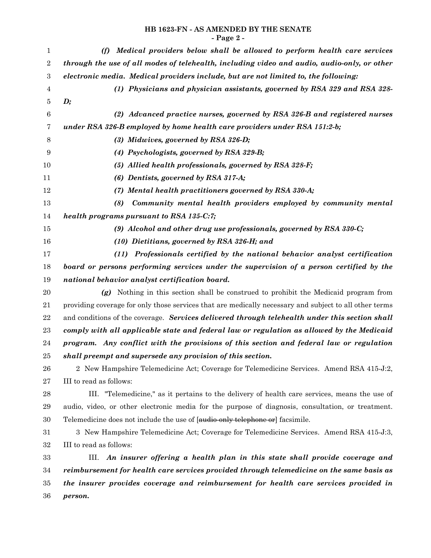# **HB 1623-FN - AS AMENDED BY THE SENATE - Page 2 -**

| $\mathbf{1}$     | Medical providers below shall be allowed to perform health care services<br>(f)                        |  |  |  |  |  |
|------------------|--------------------------------------------------------------------------------------------------------|--|--|--|--|--|
| $\sqrt{2}$       | through the use of all modes of telehealth, including video and audio, audio-only, or other            |  |  |  |  |  |
| $\,3$            | electronic media. Medical providers include, but are not limited to, the following:                    |  |  |  |  |  |
| $\overline{4}$   | (1) Physicians and physician assistants, governed by RSA 329 and RSA 328-                              |  |  |  |  |  |
| 5                | $\boldsymbol{D};$                                                                                      |  |  |  |  |  |
| $\boldsymbol{6}$ | (2) Advanced practice nurses, governed by RSA 326-B and registered nurses                              |  |  |  |  |  |
| 7                | under RSA 326-B employed by home health care providers under RSA 151:2-b;                              |  |  |  |  |  |
| 8                | $(3)$ Midwives, governed by RSA 326-D;                                                                 |  |  |  |  |  |
| 9                | (4) Psychologists, governed by RSA 329-B;                                                              |  |  |  |  |  |
| 10               | (5) Allied health professionals, governed by RSA 328-F;                                                |  |  |  |  |  |
| 11               | $(6)$ Dentists, governed by RSA 317-A;                                                                 |  |  |  |  |  |
| 12               | (7) Mental health practitioners governed by RSA 330-A;                                                 |  |  |  |  |  |
| 13               | Community mental health providers employed by community mental<br>(8)                                  |  |  |  |  |  |
| 14               | health programs pursuant to RSA 135-C:7;                                                               |  |  |  |  |  |
| 15               | (9) Alcohol and other drug use professionals, governed by RSA $330-C$ ;                                |  |  |  |  |  |
| 16               | (10) Dietitians, governed by RSA 326-H; and                                                            |  |  |  |  |  |
| 17               | Professionals certified by the national behavior analyst certification<br>(11)                         |  |  |  |  |  |
| 18               | board or persons performing services under the supervision of a person certified by the                |  |  |  |  |  |
| 19               | national behavior analyst certification board.                                                         |  |  |  |  |  |
| 20               | (g) Nothing in this section shall be construed to prohibit the Medicaid program from                   |  |  |  |  |  |
| 21               | providing coverage for only those services that are medically necessary and subject to all other terms |  |  |  |  |  |
| $\bf 22$         | and conditions of the coverage. Services delivered through telehealth under this section shall         |  |  |  |  |  |
| 23               | comply with all applicable state and federal law or regulation as allowed by the Medicaid              |  |  |  |  |  |
| 24               | program. Any conflict with the provisions of this section and federal law or regulation                |  |  |  |  |  |
| 25               | shall preempt and supersede any provision of this section.                                             |  |  |  |  |  |
| 26               | 2 New Hampshire Telemedicine Act; Coverage for Telemedicine Services. Amend RSA 415-J:2,               |  |  |  |  |  |
| 27               | III to read as follows:                                                                                |  |  |  |  |  |
| 28               | III. "Telemedicine," as it pertains to the delivery of health care services, means the use of          |  |  |  |  |  |
| 29               | audio, video, or other electronic media for the purpose of diagnosis, consultation, or treatment.      |  |  |  |  |  |
| 30               | Telemedicine does not include the use of [audio-only telephone or] facsimile.                          |  |  |  |  |  |
| 31               | 3 New Hampshire Telemedicine Act; Coverage for Telemedicine Services. Amend RSA 415-J:3,               |  |  |  |  |  |
| 32               | III to read as follows:                                                                                |  |  |  |  |  |
| 33               | An insurer offering a health plan in this state shall provide coverage and<br>III.                     |  |  |  |  |  |
| 34               | reimbursement for health care services provided through telemedicine on the same basis as              |  |  |  |  |  |
| 35               | the insurer provides coverage and reimbursement for health care services provided in                   |  |  |  |  |  |
| 36               | person.                                                                                                |  |  |  |  |  |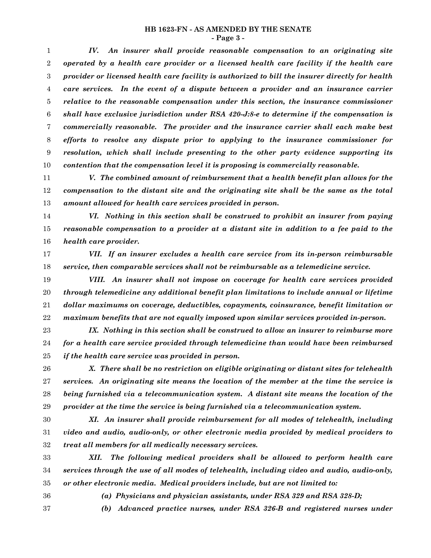# **HB 1623-FN - AS AMENDED BY THE SENATE**

**- Page 3 -**

*IV. An insurer shall provide reasonable compensation to an originating site operated by a health care provider or a licensed health care facility if the health care provider or licensed health care facility is authorized to bill the insurer directly for health care services. In the event of a dispute between a provider and an insurance carrier relative to the reasonable compensation under this section, the insurance commissioner shall have exclusive jurisdiction under RSA 420-J:8-e to determine if the compensation is commercially reasonable. The provider and the insurance carrier shall each make best efforts to resolve any dispute prior to applying to the insurance commissioner for resolution, which shall include presenting to the other party evidence supporting its contention that the compensation level it is proposing is commercially reasonable.* 1 2 3 4 5 6 7 8 9 10

*V. The combined amount of reimbursement that a health benefit plan allows for the compensation to the distant site and the originating site shall be the same as the total amount allowed for health care services provided in person.* 11 12 13

*VI. Nothing in this section shall be construed to prohibit an insurer from paying reasonable compensation to a provider at a distant site in addition to a fee paid to the health care provider.* 14 15 16

- *VII. If an insurer excludes a health care service from its in-person reimbursable service, then comparable services shall not be reimbursable as a telemedicine service.* 17 18
- *VIII. An insurer shall not impose on coverage for health care services provided through telemedicine any additional benefit plan limitations to include annual or lifetime dollar maximums on coverage, deductibles, copayments, coinsurance, benefit limitation or maximum benefits that are not equally imposed upon similar services provided in-person.* 19 20 21 22

*IX. Nothing in this section shall be construed to allow an insurer to reimburse more for a health care service provided through telemedicine than would have been reimbursed if the health care service was provided in person.* 23 24 25

*X. There shall be no restriction on eligible originating or distant sites for telehealth services. An originating site means the location of the member at the time the service is being furnished via a telecommunication system. A distant site means the location of the provider at the time the service is being furnished via a telecommunication system.* 26 27 28 29

*XI. An insurer shall provide reimbursement for all modes of telehealth, including video and audio, audio-only, or other electronic media provided by medical providers to treat all members for all medically necessary services.* 30 31 32

*XII. The following medical providers shall be allowed to perform health care services through the use of all modes of telehealth, including video and audio, audio-only, or other electronic media. Medical providers include, but are not limited to:* 33 34 35

36

*(a) Physicians and physician assistants, under RSA 329 and RSA 328-D;*

37

*(b) Advanced practice nurses, under RSA 326-B and registered nurses under*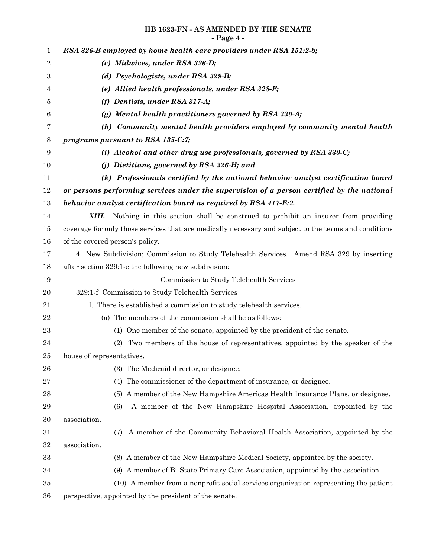# **HB 1623-FN - AS AMENDED BY THE SENATE - Page 4 -**

| 1                |                                                                                                       |  |  |  |  |  |  |
|------------------|-------------------------------------------------------------------------------------------------------|--|--|--|--|--|--|
| $\boldsymbol{2}$ | RSA 326-B employed by home health care providers under RSA 151:2-b;                                   |  |  |  |  |  |  |
| $\boldsymbol{3}$ | (c) Midwives, under RSA 326-D;<br>(d) Psychologists, under RSA 329-B;                                 |  |  |  |  |  |  |
| 4                | (e) Allied health professionals, under RSA 328-F;                                                     |  |  |  |  |  |  |
| 5                | (f) Dentists, under RSA 317-A;                                                                        |  |  |  |  |  |  |
| 6                | $(g)$ Mental health practitioners governed by RSA 330-A;                                              |  |  |  |  |  |  |
| 7                | (h) Community mental health providers employed by community mental health                             |  |  |  |  |  |  |
| 8                | programs pursuant to RSA 135-C:7;                                                                     |  |  |  |  |  |  |
| 9                | (i) Alcohol and other drug use professionals, governed by RSA $330-C$ ;                               |  |  |  |  |  |  |
| 10               | (j) Dietitians, governed by RSA 326-H; and                                                            |  |  |  |  |  |  |
| 11               | (k) Professionals certified by the national behavior analyst certification board                      |  |  |  |  |  |  |
| 12               | or persons performing services under the supervision of a person certified by the national            |  |  |  |  |  |  |
| 13               | behavior analyst certification board as required by RSA 417-E:2.                                      |  |  |  |  |  |  |
| 14               | Nothing in this section shall be construed to prohibit an insurer from providing<br>XIII.             |  |  |  |  |  |  |
| 15               | coverage for only those services that are medically necessary and subject to the terms and conditions |  |  |  |  |  |  |
| 16               | of the covered person's policy.                                                                       |  |  |  |  |  |  |
| 17               | 4 New Subdivision; Commission to Study Telehealth Services. Amend RSA 329 by inserting                |  |  |  |  |  |  |
| 18               | after section 329:1-e the following new subdivision:                                                  |  |  |  |  |  |  |
| 19               | Commission to Study Telehealth Services                                                               |  |  |  |  |  |  |
| 20               | 329:1-f Commission to Study Telehealth Services                                                       |  |  |  |  |  |  |
| 21               | I. There is established a commission to study telehealth services.                                    |  |  |  |  |  |  |
| 22               | (a) The members of the commission shall be as follows:                                                |  |  |  |  |  |  |
| 23               | (1) One member of the senate, appointed by the president of the senate.                               |  |  |  |  |  |  |
| $\bf{24}$        | (2)<br>Two members of the house of representatives, appointed by the speaker of the                   |  |  |  |  |  |  |
| 25               | house of representatives.                                                                             |  |  |  |  |  |  |
| 26               | (3) The Medicaid director, or designee.                                                               |  |  |  |  |  |  |
| $\sqrt{27}$      | (4) The commissioner of the department of insurance, or designee.                                     |  |  |  |  |  |  |
| 28               | (5) A member of the New Hampshire Americas Health Insurance Plans, or designee.                       |  |  |  |  |  |  |
| 29               | A member of the New Hampshire Hospital Association, appointed by the<br>(6)                           |  |  |  |  |  |  |
| 30               | association.                                                                                          |  |  |  |  |  |  |
| 31               | A member of the Community Behavioral Health Association, appointed by the<br>(7)                      |  |  |  |  |  |  |
| 32               | association.                                                                                          |  |  |  |  |  |  |
| 33               | (8) A member of the New Hampshire Medical Society, appointed by the society.                          |  |  |  |  |  |  |
| 34               | (9) A member of Bi-State Primary Care Association, appointed by the association.                      |  |  |  |  |  |  |
| 35               | (10) A member from a nonprofit social services organization representing the patient                  |  |  |  |  |  |  |
| 36               | perspective, appointed by the president of the senate.                                                |  |  |  |  |  |  |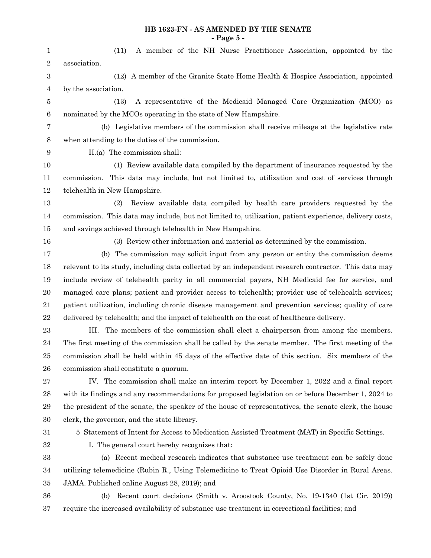#### **HB 1623-FN - AS AMENDED BY THE SENATE - Page 5 -**

(11) A member of the NH Nurse Practitioner Association, appointed by the association. (12) A member of the Granite State Home Health & Hospice Association, appointed by the association. (13) A representative of the Medicaid Managed Care Organization (MCO) as nominated by the MCOs operating in the state of New Hampshire. (b) Legislative members of the commission shall receive mileage at the legislative rate when attending to the duties of the commission. II.(a) The commission shall: (1) Review available data compiled by the department of insurance requested by the commission. This data may include, but not limited to, utilization and cost of services through telehealth in New Hampshire. (2) Review available data compiled by health care providers requested by the commission. This data may include, but not limited to, utilization, patient experience, delivery costs, and savings achieved through telehealth in New Hampshire. (3) Review other information and material as determined by the commission. (b) The commission may solicit input from any person or entity the commission deems relevant to its study, including data collected by an independent research contractor. This data may include review of telehealth parity in all commercial payers, NH Medicaid fee for service, and managed care plans; patient and provider access to telehealth; provider use of telehealth services; patient utilization, including chronic disease management and prevention services; quality of care delivered by telehealth; and the impact of telehealth on the cost of healthcare delivery. III. The members of the commission shall elect a chairperson from among the members. The first meeting of the commission shall be called by the senate member. The first meeting of the commission shall be held within 45 days of the effective date of this section. Six members of the commission shall constitute a quorum. IV. The commission shall make an interim report by December 1, 2022 and a final report with its findings and any recommendations for proposed legislation on or before December 1, 2024 to the president of the senate, the speaker of the house of representatives, the senate clerk, the house clerk, the governor, and the state library. 5 Statement of Intent for Access to Medication Assisted Treatment (MAT) in Specific Settings. I. The general court hereby recognizes that: (a) Recent medical research indicates that substance use treatment can be safely done utilizing telemedicine (Rubin R., Using Telemedicine to Treat Opioid Use Disorder in Rural Areas. JAMA. Published online August 28, 2019); and 1 2 3 4 5 6 7 8 9 10 11 12 13 14 15 16 17 18 19 20 21 22 23 24 25 26 27 28 29 30 31 32 33 34 35

(b) Recent court decisions (Smith v. Aroostook County, No. 19-1340 (1st Cir. 2019)) require the increased availability of substance use treatment in correctional facilities; and 36 37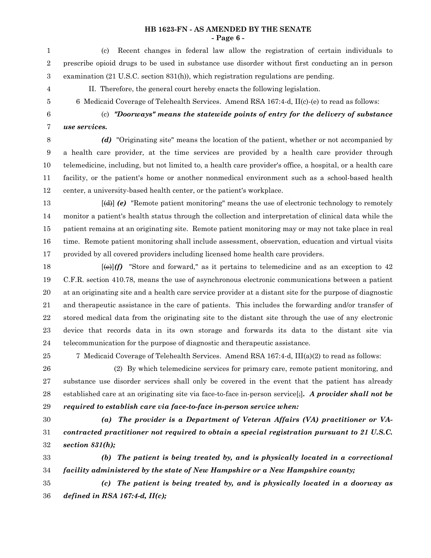## **HB 1623-FN - AS AMENDED BY THE SENATE - Page 6 -**

(c) Recent changes in federal law allow the registration of certain individuals to prescribe opioid drugs to be used in substance use disorder without first conducting an in person examination (21 U.S.C. section 831(h)), which registration regulations are pending. 1 2 3

4 5

II. Therefore, the general court hereby enacts the following legislation.

- 6 Medicaid Coverage of Telehealth Services. Amend RSA 167:4-d, II(c)-(e) to read as follows:
- 6

(c) *"Doorways" means the statewide points of entry for the delivery of substance use services.*

7

*(d)* "Originating site" means the location of the patient, whether or not accompanied by a health care provider, at the time services are provided by a health care provider through telemedicine, including, but not limited to, a health care provider's office, a hospital, or a health care facility, or the patient's home or another nonmedical environment such as a school-based health center, a university-based health center, or the patient's workplace. 8 9 10 11 12

[(d)] *(e)* "Remote patient monitoring" means the use of electronic technology to remotely monitor a patient's health status through the collection and interpretation of clinical data while the patient remains at an originating site. Remote patient monitoring may or may not take place in real time. Remote patient monitoring shall include assessment, observation, education and virtual visits provided by all covered providers including licensed home health care providers. 13 14 15 16 17

 $[\Theta]$ *(f)* "Store and forward," as it pertains to telemedicine and as an exception to 42 C.F.R. section 410.78, means the use of asynchronous electronic communications between a patient at an originating site and a health care service provider at a distant site for the purpose of diagnostic and therapeutic assistance in the care of patients. This includes the forwarding and/or transfer of stored medical data from the originating site to the distant site through the use of any electronic device that records data in its own storage and forwards its data to the distant site via telecommunication for the purpose of diagnostic and therapeutic assistance. 18 19 20 21 22 23 24

25

7 Medicaid Coverage of Telehealth Services. Amend RSA 167:4-d, III(a)(2) to read as follows:

(2) By which telemedicine services for primary care, remote patient monitoring, and substance use disorder services shall only be covered in the event that the patient has already established care at an originating site via face-to-face in-person service[;]*. A provider shall not be required to establish care via face-to-face in-person service when:* 26 27 28 29

30

31 32

*(a) The provider is a Department of Veteran Affairs (VA) practitioner or VAcontracted practitioner not required to obtain a special registration pursuant to 21 U.S.C. section 831(h);*

*(b) The patient is being treated by, and is physically located in a correctional facility administered by the state of New Hampshire or a New Hampshire county;* 33 34

*(c) The patient is being treated by, and is physically located in a doorway as defined in RSA 167:4-d, II(c);* 35 36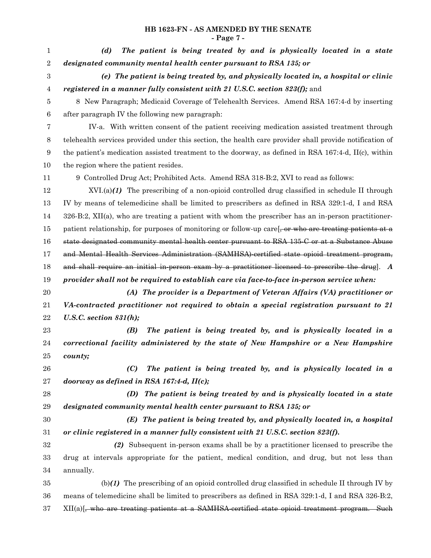# **HB 1623-FN - AS AMENDED BY THE SENATE - Page 7 -**

| 1                | The patient is being treated by and is physically located in a state<br>(d)                             |  |  |  |  |  |
|------------------|---------------------------------------------------------------------------------------------------------|--|--|--|--|--|
| $\boldsymbol{2}$ | designated community mental health center pursuant to RSA 135; or                                       |  |  |  |  |  |
| 3                | (e) The patient is being treated by, and physically located in, a hospital or clinic                    |  |  |  |  |  |
| 4                | registered in a manner fully consistent with 21 U.S.C. section 823(f); and                              |  |  |  |  |  |
| 5                | 8 New Paragraph; Medicaid Coverage of Telehealth Services. Amend RSA 167:4-d by inserting               |  |  |  |  |  |
| 6                | after paragraph IV the following new paragraph:                                                         |  |  |  |  |  |
| 7                | IV-a. With written consent of the patient receiving medication assisted treatment through               |  |  |  |  |  |
| 8                | telehealth services provided under this section, the health care provider shall provide notification of |  |  |  |  |  |
| 9                | the patient's medication assisted treatment to the doorway, as defined in RSA 167:4-d, II(c), within    |  |  |  |  |  |
| 10               | the region where the patient resides.                                                                   |  |  |  |  |  |
| 11               | 9 Controlled Drug Act; Prohibited Acts. Amend RSA 318-B:2, XVI to read as follows:                      |  |  |  |  |  |
| 12               | $XVI(a)(1)$ The prescribing of a non-opioid controlled drug classified in schedule II through           |  |  |  |  |  |
| 13               | IV by means of telemedicine shall be limited to prescribers as defined in RSA 329:1-d, I and RSA        |  |  |  |  |  |
| 14               | $326-B:2$ , XII(a), who are treating a patient with whom the prescriber has an in-person practitioner-  |  |  |  |  |  |
| 15               | patient relationship, for purposes of monitoring or follow-up care, or who are treating patients at a   |  |  |  |  |  |
| 16               | state designated community mental health center pursuant to RSA 135-C or at a Substance Abuse           |  |  |  |  |  |
| 17               | and Mental Health Services Administration (SAMHSA) certified state opioid treatment program,            |  |  |  |  |  |
| 18               | and shall require an initial in-person exam by a practitioner licensed to prescribe the drug. $A$       |  |  |  |  |  |
| 19               | provider shall not be required to establish care via face-to-face in-person service when:               |  |  |  |  |  |
| 20               | (A) The provider is a Department of Veteran Affairs (VA) practitioner or                                |  |  |  |  |  |
| 21               | VA-contracted practitioner not required to obtain a special registration pursuant to 21                 |  |  |  |  |  |
| 22               | U.S.C. section $831(h)$ ;                                                                               |  |  |  |  |  |
| 23               | The patient is being treated by, and is physically located in a<br>(B)                                  |  |  |  |  |  |
| 24               | correctional facility administered by the state of New Hampshire or a New Hampshire                     |  |  |  |  |  |
| 25               | county;                                                                                                 |  |  |  |  |  |
| 26               | The patient is being treated by, and is physically located in a<br>(C)                                  |  |  |  |  |  |
| 27               | doorway as defined in RSA 167:4-d, $II(c)$ ;                                                            |  |  |  |  |  |
| 28               | (D) The patient is being treated by and is physically located in a state                                |  |  |  |  |  |
| 29               | designated community mental health center pursuant to RSA 135; or                                       |  |  |  |  |  |
| 30               | (E) The patient is being treated by, and physically located in, a hospital                              |  |  |  |  |  |
| 31               | or clinic registered in a manner fully consistent with 21 U.S.C. section 823(f).                        |  |  |  |  |  |
| 32               | (2) Subsequent in-person exams shall be by a practitioner licensed to prescribe the                     |  |  |  |  |  |
| 33               | drug at intervals appropriate for the patient, medical condition, and drug, but not less than           |  |  |  |  |  |
| 34               | annually.                                                                                               |  |  |  |  |  |
| 35               | $(b)(1)$ The prescribing of an opioid controlled drug classified in schedule II through IV by           |  |  |  |  |  |
| 36               | means of telemedicine shall be limited to prescribers as defined in RSA 329:1-d, I and RSA 326-B:2,     |  |  |  |  |  |
| 37               | XII(a)[, who are treating patients at a SAMHSA-certified state opioid treatment program. Such           |  |  |  |  |  |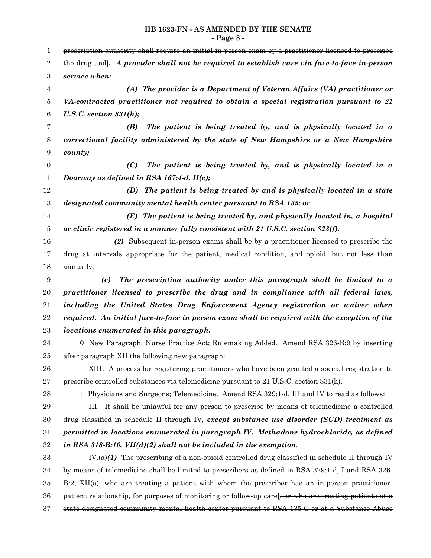#### **HB 1623-FN - AS AMENDED BY THE SENATE - Page 8 -**

prescription authority shall require an initial in-person exam by a practitioner licensed to prescribe the drug and]*. A provider shall not be required to establish care via face-to-face in-person service when: (A) The provider is a Department of Veteran Affairs (VA) practitioner or VA-contracted practitioner not required to obtain a special registration pursuant to 21 U.S.C. section 831(h); (B) The patient is being treated by, and is physically located in a correctional facility administered by the state of New Hampshire or a New Hampshire county; (C) The patient is being treated by, and is physically located in a Doorway as defined in RSA 167:4-d, II(c); (D) The patient is being treated by and is physically located in a state designated community mental health center pursuant to RSA 135; or (E) The patient is being treated by, and physically located in, a hospital or clinic registered in a manner fully consistent with 21 U.S.C. section 823(f). (2)* Subsequent in-person exams shall be by a practitioner licensed to prescribe the drug at intervals appropriate for the patient, medical condition, and opioid, but not less than annually. *(c) The prescription authority under this paragraph shall be limited to a practitioner licensed to prescribe the drug and in compliance with all federal laws, including the United States Drug Enforcement Agency registration or waiver when required. An initial face-to-face in person exam shall be required with the exception of the locations enumerated in this paragraph.* 10 New Paragraph; Nurse Practice Act; Rulemaking Added. Amend RSA 326-B:9 by inserting after paragraph XII the following new paragraph: XIII. A process for registering practitioners who have been granted a special registration to prescribe controlled substances via telemedicine pursuant to 21 U.S.C. section 831(h). 11 Physicians and Surgeons; Telemedicine. Amend RSA 329:1-d, III and IV to read as follows: III. It shall be unlawful for any person to prescribe by means of telemedicine a controlled drug classified in schedule II through IV*, except substance use disorder (SUD) treatment as permitted in locations enumerated in paragraph IV. Methadone hydrochloride, as defined in RSA 318-B:10, VII(d)(2) shall not be included in the exemption*. IV.(a)*(1)* The prescribing of a non-opioid controlled drug classified in schedule II through IV by means of telemedicine shall be limited to prescribers as defined in RSA 329:1-d, I and RSA 326- B:2, XII(a), who are treating a patient with whom the prescriber has an in-person practitionerpatient relationship, for purposes of monitoring or follow-up care,  $\frac{1}{2}$  or who are treating patients at a state designated community mental health center pursuant to RSA 135-C or at a Substance Abuse 1 2 3 4 5 6 7 8 9 10 11 12 13 14 15 16 17 18 19 20 21 22 23 24 25 26 27 28 29 30 31 32 33 34 35 36 37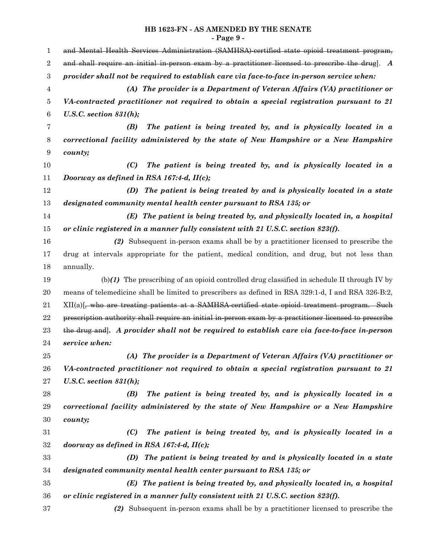# **HB 1623-FN - AS AMENDED BY THE SENATE - Page 9 -**

| $\mathbf{1}$     | and Mental Health Services Administration (SAMHSA) certified state opioid treatment program,           |  |  |  |  |  |
|------------------|--------------------------------------------------------------------------------------------------------|--|--|--|--|--|
| $\overline{2}$   | and shall require an initial in-person exam by a practitioner licensed to prescribe the drug. $A$      |  |  |  |  |  |
| $\,3$            | provider shall not be required to establish care via face-to-face in-person service when:              |  |  |  |  |  |
| 4                | (A) The provider is a Department of Veteran Affairs (VA) practitioner or                               |  |  |  |  |  |
| 5                | VA-contracted practitioner not required to obtain a special registration pursuant to 21                |  |  |  |  |  |
| $\boldsymbol{6}$ | U.S.C. section $831(h)$ ;                                                                              |  |  |  |  |  |
| 7                | The patient is being treated by, and is physically located in a<br>(B)                                 |  |  |  |  |  |
| 8                | correctional facility administered by the state of New Hampshire or a New Hampshire                    |  |  |  |  |  |
| 9                | county;                                                                                                |  |  |  |  |  |
| 10               | The patient is being treated by, and is physically located in a<br>(C)                                 |  |  |  |  |  |
| 11               | Doorway as defined in RSA 167:4-d, II(c);                                                              |  |  |  |  |  |
| 12               | (D) The patient is being treated by and is physically located in a state                               |  |  |  |  |  |
| 13               | designated community mental health center pursuant to RSA 135; or                                      |  |  |  |  |  |
| 14               | (E) The patient is being treated by, and physically located in, a hospital                             |  |  |  |  |  |
| 15               | or clinic registered in a manner fully consistent with 21 U.S.C. section 823(f).                       |  |  |  |  |  |
| 16               | (2) Subsequent in-person exams shall be by a practitioner licensed to prescribe the                    |  |  |  |  |  |
| 17               | drug at intervals appropriate for the patient, medical condition, and drug, but not less than          |  |  |  |  |  |
| 18               | annually.                                                                                              |  |  |  |  |  |
| 19               | $(b)(1)$ The prescribing of an opioid controlled drug classified in schedule II through IV by          |  |  |  |  |  |
| $20\,$           | means of telemedicine shall be limited to prescribers as defined in RSA 329:1-d, I and RSA 326-B:2,    |  |  |  |  |  |
| 21               | XII(a)[, who are treating patients at a SAMHSA-certified state opioid treatment program. Such          |  |  |  |  |  |
| 22               | prescription authority shall require an initial in person exam by a practitioner licensed to prescribe |  |  |  |  |  |
| 23               | the drug and]. A provider shall not be required to establish care via face-to-face in-person           |  |  |  |  |  |
| 24               | service when:                                                                                          |  |  |  |  |  |
| $25\,$           | (A) The provider is a Department of Veteran Affairs (VA) practitioner or                               |  |  |  |  |  |
| 26               | VA-contracted practitioner not required to obtain a special registration pursuant to 21                |  |  |  |  |  |
| 27               | U.S.C. section $831(h);$                                                                               |  |  |  |  |  |
| 28               | The patient is being treated by, and is physically located in a<br>(B)                                 |  |  |  |  |  |
| 29               | correctional facility administered by the state of New Hampshire or a New Hampshire                    |  |  |  |  |  |
| 30               | county;                                                                                                |  |  |  |  |  |
| 31               | (C)<br>The patient is being treated by, and is physically located in a                                 |  |  |  |  |  |
| $32\,$           | doorway as defined in RSA 167:4-d, $II(c)$ ;                                                           |  |  |  |  |  |
| 33               | The patient is being treated by and is physically located in a state<br>(D)                            |  |  |  |  |  |
| 34               | designated community mental health center pursuant to RSA 135; or                                      |  |  |  |  |  |
| 35               | (E) The patient is being treated by, and physically located in, a hospital                             |  |  |  |  |  |
| 36               | or clinic registered in a manner fully consistent with 21 U.S.C. section 823(f).                       |  |  |  |  |  |
| 37               | (2) Subsequent in-person exams shall be by a practitioner licensed to prescribe the                    |  |  |  |  |  |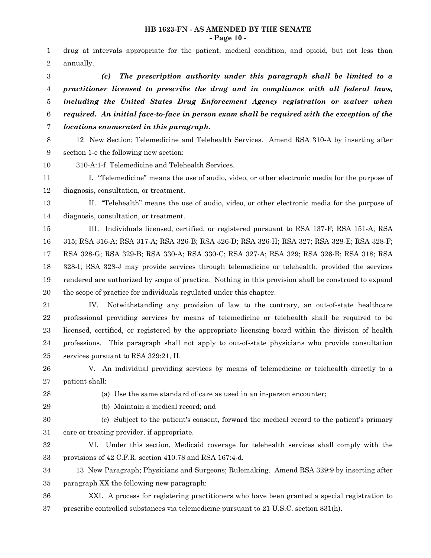#### **HB 1623-FN - AS AMENDED BY THE SENATE - Page 10 -**

drug at intervals appropriate for the patient, medical condition, and opioid, but not less than annually. 1 2

*(c) The prescription authority under this paragraph shall be limited to a practitioner licensed to prescribe the drug and in compliance with all federal laws, including the United States Drug Enforcement Agency registration or waiver when required. An initial face-to-face in person exam shall be required with the exception of the locations enumerated in this paragraph.* 3 4 5 6 7

12 New Section; Telemedicine and Telehealth Services. Amend RSA 310-A by inserting after section 1-e the following new section: 8 9

310-A:1-f Telemedicine and Telehealth Services. 10

I. "Telemedicine" means the use of audio, video, or other electronic media for the purpose of diagnosis, consultation, or treatment. 11 12

II. "Telehealth" means the use of audio, video, or other electronic media for the purpose of diagnosis, consultation, or treatment. 13 14

III. Individuals licensed, certified, or registered pursuant to RSA 137-F; RSA 151-A; RSA 315; RSA 316-A; RSA 317-A; RSA 326-B; RSA 326-D; RSA 326-H; RSA 327; RSA 328-E; RSA 328-F; RSA 328-G; RSA 329-B; RSA 330-A; RSA 330-C; RSA 327-A; RSA 329; RSA 326-B; RSA 318; RSA 328-I; RSA 328-J may provide services through telemedicine or telehealth, provided the services rendered are authorized by scope of practice. Nothing in this provision shall be construed to expand the scope of practice for individuals regulated under this chapter. 15 16 17 18 19 20

IV. Notwithstanding any provision of law to the contrary, an out-of-state healthcare professional providing services by means of telemedicine or telehealth shall be required to be licensed, certified, or registered by the appropriate licensing board within the division of health professions. This paragraph shall not apply to out-of-state physicians who provide consultation services pursuant to RSA 329:21, II. 21 22 23 24 25

V. An individual providing services by means of telemedicine or telehealth directly to a patient shall: 26 27

28 29

(a) Use the same standard of care as used in an in-person encounter;

- (b) Maintain a medical record; and
- 

(c) Subject to the patient's consent, forward the medical record to the patient's primary care or treating provider, if appropriate. 30 31

VI. Under this section, Medicaid coverage for telehealth services shall comply with the provisions of 42 C.F.R. section 410.78 and RSA 167:4-d. 32 33

13 New Paragraph; Physicians and Surgeons; Rulemaking. Amend RSA 329:9 by inserting after paragraph XX the following new paragraph: 34 35

XXI. A process for registering practitioners who have been granted a special registration to prescribe controlled substances via telemedicine pursuant to 21 U.S.C. section 831(h). 36 37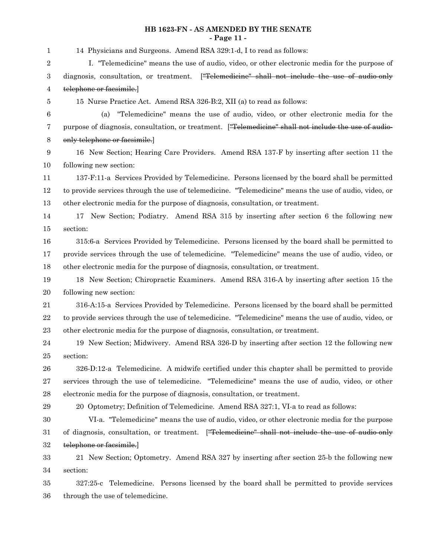# **HB 1623-FN - AS AMENDED BY THE SENATE - Page 11 -**

14 Physicians and Surgeons. Amend RSA 329:1-d, I to read as follows: I. "Telemedicine" means the use of audio, video, or other electronic media for the purpose of diagnosis, consultation, or treatment. ["Telemedicine" shall not include the use of audio-only telephone or facsimile.] 15 Nurse Practice Act. Amend RSA 326-B:2, XII (a) to read as follows: (a) "Telemedicine" means the use of audio, video, or other electronic media for the purpose of diagnosis, consultation, or treatment. ["Telemedicine" shall not include the use of audioonly telephone or facsimile.] 16 New Section; Hearing Care Providers. Amend RSA 137-F by inserting after section 11 the following new section: 137-F:11-a Services Provided by Telemedicine. Persons licensed by the board shall be permitted to provide services through the use of telemedicine. "Telemedicine" means the use of audio, video, or other electronic media for the purpose of diagnosis, consultation, or treatment. 17 New Section; Podiatry. Amend RSA 315 by inserting after section 6 the following new section: 315:6-a Services Provided by Telemedicine. Persons licensed by the board shall be permitted to provide services through the use of telemedicine. "Telemedicine" means the use of audio, video, or other electronic media for the purpose of diagnosis, consultation, or treatment. 18 New Section; Chiropractic Examiners. Amend RSA 316-A by inserting after section 15 the following new section: 316-A:15-a Services Provided by Telemedicine. Persons licensed by the board shall be permitted to provide services through the use of telemedicine. "Telemedicine" means the use of audio, video, or other electronic media for the purpose of diagnosis, consultation, or treatment. 19 New Section; Midwivery. Amend RSA 326-D by inserting after section 12 the following new section: 326-D:12-a Telemedicine. A midwife certified under this chapter shall be permitted to provide services through the use of telemedicine. "Telemedicine" means the use of audio, video, or other electronic media for the purpose of diagnosis, consultation, or treatment. 20 Optometry; Definition of Telemedicine. Amend RSA 327:1, VI-a to read as follows: VI-a. "Telemedicine" means the use of audio, video, or other electronic media for the purpose of diagnosis, consultation, or treatment. ["Telemedicine" shall not include the use of audio-only telephone or facsimile.] 21 New Section; Optometry. Amend RSA 327 by inserting after section 25-b the following new section: 327:25-c Telemedicine. Persons licensed by the board shall be permitted to provide services through the use of telemedicine. 1 2 3 4 5 6 7 8 9 10 11 12 13 14 15 16 17 18 19 20 21 22 23 24 25 26 27 28 29 30 31 32 33 34 35 36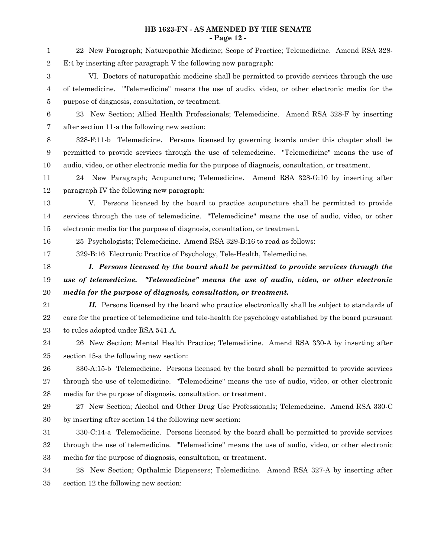# **HB 1623-FN - AS AMENDED BY THE SENATE - Page 12 -**

| 1                | 22 New Paragraph; Naturopathic Medicine; Scope of Practice; Telemedicine. Amend RSA 328-                                                                              |  |  |  |  |  |  |
|------------------|-----------------------------------------------------------------------------------------------------------------------------------------------------------------------|--|--|--|--|--|--|
| $\sqrt{2}$       | E:4 by inserting after paragraph V the following new paragraph:                                                                                                       |  |  |  |  |  |  |
| 3                | VI. Doctors of naturopathic medicine shall be permitted to provide services through the use                                                                           |  |  |  |  |  |  |
| 4                | of telemedicine. "Telemedicine" means the use of audio, video, or other electronic media for the                                                                      |  |  |  |  |  |  |
| 5                | purpose of diagnosis, consultation, or treatment.                                                                                                                     |  |  |  |  |  |  |
| $\boldsymbol{6}$ | New Section; Allied Health Professionals; Telemedicine. Amend RSA 328-F by inserting<br>23                                                                            |  |  |  |  |  |  |
| 7                | after section 11-a the following new section:                                                                                                                         |  |  |  |  |  |  |
| 8                | 328-F:11-b Telemedicine. Persons licensed by governing boards under this chapter shall be                                                                             |  |  |  |  |  |  |
| 9                | permitted to provide services through the use of telemedicine. "Telemedicine" means the use of                                                                        |  |  |  |  |  |  |
| 10               | audio, video, or other electronic media for the purpose of diagnosis, consultation, or treatment.                                                                     |  |  |  |  |  |  |
| 11               | 24 New Paragraph; Acupuncture; Telemedicine. Amend RSA 328-G:10 by inserting after                                                                                    |  |  |  |  |  |  |
| 12               | paragraph IV the following new paragraph:                                                                                                                             |  |  |  |  |  |  |
| 13               | V. Persons licensed by the board to practice acupuncture shall be permitted to provide                                                                                |  |  |  |  |  |  |
| 14               | services through the use of telemedicine. "Telemedicine" means the use of audio, video, or other                                                                      |  |  |  |  |  |  |
| 15               | electronic media for the purpose of diagnosis, consultation, or treatment.                                                                                            |  |  |  |  |  |  |
| 16               | 25 Psychologists; Telemedicine. Amend RSA 329-B:16 to read as follows:                                                                                                |  |  |  |  |  |  |
| 17               | 329-B:16 Electronic Practice of Psychology, Tele-Health, Telemedicine.                                                                                                |  |  |  |  |  |  |
|                  |                                                                                                                                                                       |  |  |  |  |  |  |
| 18               | I. Persons licensed by the board shall be permitted to provide services through the                                                                                   |  |  |  |  |  |  |
| 19               | use of telemedicine. "Telemedicine" means the use of audio, video, or other electronic                                                                                |  |  |  |  |  |  |
| 20               | media for the purpose of diagnosis, consultation, or treatment.                                                                                                       |  |  |  |  |  |  |
| 21               | <b>II.</b> Persons licensed by the board who practice electronically shall be subject to standards of                                                                 |  |  |  |  |  |  |
| 22               | care for the practice of telemedicine and tele-health for psychology established by the board pursuant                                                                |  |  |  |  |  |  |
| 23               | to rules adopted under RSA 541-A.                                                                                                                                     |  |  |  |  |  |  |
| 24               | 26 New Section; Mental Health Practice; Telemedicine. Amend RSA 330-A by inserting after                                                                              |  |  |  |  |  |  |
| 25               | section 15-a the following new section:                                                                                                                               |  |  |  |  |  |  |
| 26               | 330-A:15-b Telemedicine. Persons licensed by the board shall be permitted to provide services                                                                         |  |  |  |  |  |  |
| $\sqrt{27}$      | through the use of telemedicine. "Telemedicine" means the use of audio, video, or other electronic                                                                    |  |  |  |  |  |  |
| 28               | media for the purpose of diagnosis, consultation, or treatment.                                                                                                       |  |  |  |  |  |  |
| 29               | 27 New Section; Alcohol and Other Drug Use Professionals; Telemedicine. Amend RSA 330-C                                                                               |  |  |  |  |  |  |
| 30               | by inserting after section 14 the following new section:                                                                                                              |  |  |  |  |  |  |
| 31               | 330-C:14-a Telemedicine. Persons licensed by the board shall be permitted to provide services                                                                         |  |  |  |  |  |  |
| 32               | through the use of telemedicine. "Telemedicine" means the use of audio, video, or other electronic<br>media for the purpose of diagnosis, consultation, or treatment. |  |  |  |  |  |  |

28 New Section; Opthalmic Dispensers; Telemedicine. Amend RSA 327-A by inserting after section 12 the following new section: 34 35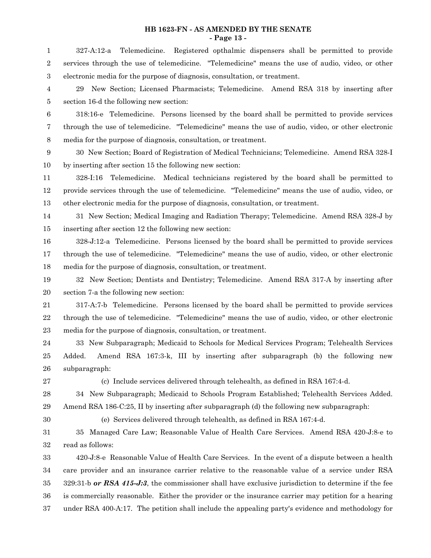### **HB 1623-FN - AS AMENDED BY THE SENATE - Page 13 -**

327-A:12-a Telemedicine. Registered opthalmic dispensers shall be permitted to provide services through the use of telemedicine. "Telemedicine" means the use of audio, video, or other electronic media for the purpose of diagnosis, consultation, or treatment. 29 New Section; Licensed Pharmacists; Telemedicine. Amend RSA 318 by inserting after section 16-d the following new section: 318:16-e Telemedicine. Persons licensed by the board shall be permitted to provide services through the use of telemedicine. "Telemedicine" means the use of audio, video, or other electronic media for the purpose of diagnosis, consultation, or treatment. 30 New Section; Board of Registration of Medical Technicians; Telemedicine. Amend RSA 328-I by inserting after section 15 the following new section: 328-I:16 Telemedicine. Medical technicians registered by the board shall be permitted to provide services through the use of telemedicine. "Telemedicine" means the use of audio, video, or other electronic media for the purpose of diagnosis, consultation, or treatment. 31 New Section; Medical Imaging and Radiation Therapy; Telemedicine. Amend RSA 328-J by inserting after section 12 the following new section: 328-J:12-a Telemedicine. Persons licensed by the board shall be permitted to provide services through the use of telemedicine. "Telemedicine" means the use of audio, video, or other electronic media for the purpose of diagnosis, consultation, or treatment. 32 New Section; Dentists and Dentistry; Telemedicine. Amend RSA 317-A by inserting after section 7-a the following new section: 317-A:7-b Telemedicine. Persons licensed by the board shall be permitted to provide services through the use of telemedicine. "Telemedicine" means the use of audio, video, or other electronic media for the purpose of diagnosis, consultation, or treatment. 33 New Subparagraph; Medicaid to Schools for Medical Services Program; Telehealth Services Added. Amend RSA 167:3-k, III by inserting after subparagraph (b) the following new subparagraph: (c) Include services delivered through telehealth, as defined in RSA 167:4-d. 34 New Subparagraph; Medicaid to Schools Program Established; Telehealth Services Added. Amend RSA 186-C:25, II by inserting after subparagraph (d) the following new subparagraph: (e) Services delivered through telehealth, as defined in RSA 167:4-d. 35 Managed Care Law; Reasonable Value of Health Care Services. Amend RSA 420-J:8-e to read as follows: 420-J:8-e Reasonable Value of Health Care Services. In the event of a dispute between a health care provider and an insurance carrier relative to the reasonable value of a service under RSA 329:31-b *or RSA 415-J:3*, the commissioner shall have exclusive jurisdiction to determine if the fee is commercially reasonable. Either the provider or the insurance carrier may petition for a hearing 1 2 3 4 5 6 7 8 9 10 11 12 13 14 15 16 17 18 19 20 21 22 23 24 25 26 27 28 29 30 31 32 33 34 35 36

under RSA 400-A:17. The petition shall include the appealing party's evidence and methodology for 37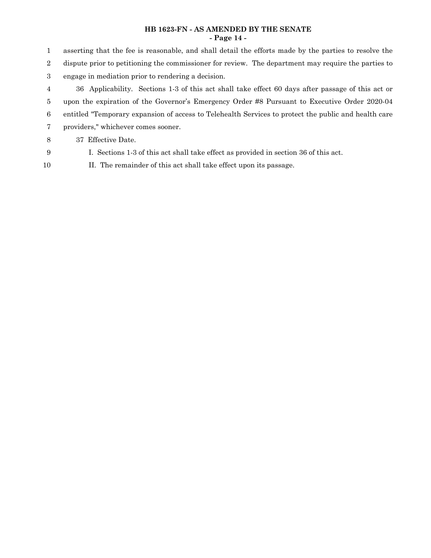# **HB 1623-FN - AS AMENDED BY THE SENATE - Page 14 -**

asserting that the fee is reasonable, and shall detail the efforts made by the parties to resolve the dispute prior to petitioning the commissioner for review. The department may require the parties to engage in mediation prior to rendering a decision. 36 Applicability. Sections 1-3 of this act shall take effect 60 days after passage of this act or 1 2 3 4

- upon the expiration of the Governor's Emergency Order #8 Pursuant to Executive Order 2020-04 5
- entitled "Temporary expansion of access to Telehealth Services to protect the public and health care 6
- providers," whichever comes sooner. 7

37 Effective Date. 8

- 9
- I. Sections 1-3 of this act shall take effect as provided in section 36 of this act.
- II. The remainder of this act shall take effect upon its passage. 10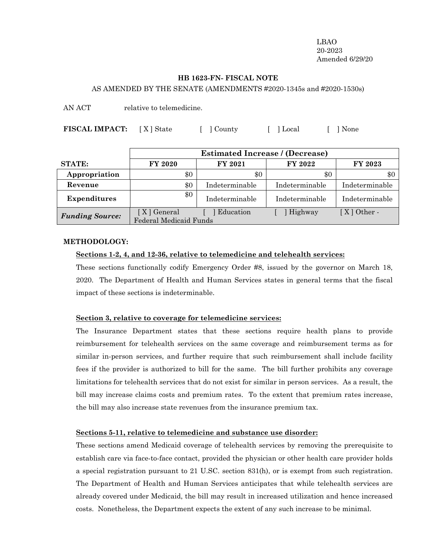LBAO 20-2023 Amended 6/29/20

#### **HB 1623-FN- FISCAL NOTE**

AS AMENDED BY THE SENATE (AMENDMENTS #2020-1345s and #2020-1530s)

AN ACT relative to telemedicine.

**FISCAL IMPACT:** [X] State [ ] County [ ] Local [ ] None

|                        | <b>Estimated Increase / (Decrease)</b>         |                |                |                |
|------------------------|------------------------------------------------|----------------|----------------|----------------|
| <b>STATE:</b>          | <b>FY 2020</b>                                 | FY 2021        | FY 2022        | <b>FY 2023</b> |
| Appropriation          | \$0                                            | $\$0$          | \$0            | \$0            |
| Revenue                | \$0                                            | Indeterminable | Indeterminable | Indeterminable |
| <b>Expenditures</b>    | \$0                                            | Indeterminable | Indeterminable | Indeterminable |
| <b>Funding Source:</b> | [ X ] General<br><b>Federal Medicaid Funds</b> | Education      | Highway        | $[X]$ Other -  |

#### **METHODOLOGY:**

# **Sections 1-2, 4, and 12-36, relative to telemedicine and telehealth services:**

These sections functionally codify Emergency Order #8, issued by the governor on March 18, 2020. The Department of Health and Human Services states in general terms that the fiscal impact of these sections is indeterminable.

# **Section 3, relative to coverage for telemedicine services:**

The Insurance Department states that these sections require health plans to provide reimbursement for telehealth services on the same coverage and reimbursement terms as for similar in-person services, and further require that such reimbursement shall include facility fees if the provider is authorized to bill for the same. The bill further prohibits any coverage limitations for telehealth services that do not exist for similar in person services. As a result, the bill may increase claims costs and premium rates. To the extent that premium rates increase, the bill may also increase state revenues from the insurance premium tax.

# **Sections 5-11, relative to telemedicine and substance use disorder:**

These sections amend Medicaid coverage of telehealth services by removing the prerequisite to establish care via face-to-face contact, provided the physician or other health care provider holds a special registration pursuant to 21 U.SC. section 831(h), or is exempt from such registration. The Department of Health and Human Services anticipates that while telehealth services are already covered under Medicaid, the bill may result in increased utilization and hence increased costs. Nonetheless, the Department expects the extent of any such increase to be minimal.